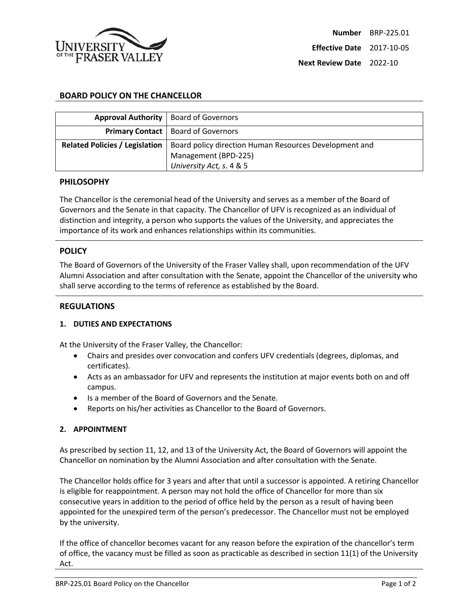

# **BOARD POLICY ON THE CHANCELLOR**

| Approval Authority   Board of Governors |                                                        |
|-----------------------------------------|--------------------------------------------------------|
|                                         | <b>Primary Contact</b>   Board of Governors            |
| <b>Related Policies / Legislation</b>   | Board policy direction Human Resources Development and |
|                                         | Management (BPD-225)                                   |
|                                         | University Act, s. 4 & 5                               |

### **PHILOSOPHY**

The Chancellor is the ceremonial head of the University and serves as a member of the Board of Governors and the Senate in that capacity. The Chancellor of UFV is recognized as an individual of distinction and integrity, a person who supports the values of the University, and appreciates the importance of its work and enhances relationships within its communities.

#### **POLICY**

The Board of Governors of the University of the Fraser Valley shall, upon recommendation of the UFV Alumni Association and after consultation with the Senate, appoint the Chancellor of the university who shall serve according to the terms of reference as established by the Board.

### **REGULATIONS**

#### **1. DUTIES AND EXPECTATIONS**

At the University of the Fraser Valley, the Chancellor:

- Chairs and presides over convocation and confers UFV credentials (degrees, diplomas, and certificates).
- Acts as an ambassador for UFV and represents the institution at major events both on and off campus.
- Is a member of the Board of Governors and the Senate.
- Reports on his/her activities as Chancellor to the Board of Governors.

## **2. APPOINTMENT**

As prescribed by section 11, 12, and 13 of the University Act, the Board of Governors will appoint the Chancellor on nomination by the Alumni Association and after consultation with the Senate.

The Chancellor holds office for 3 years and after that until a successor is appointed. A retiring Chancellor is eligible for reappointment. A person may not hold the office of Chancellor for more than six consecutive years in addition to the period of office held by the person as a result of having been appointed for the unexpired term of the person's predecessor. The Chancellor must not be employed by the university.

If the office of chancellor becomes vacant for any reason before the expiration of the chancellor's term of office, the vacancy must be filled as soon as practicable as described in section 11(1) of the University Act.